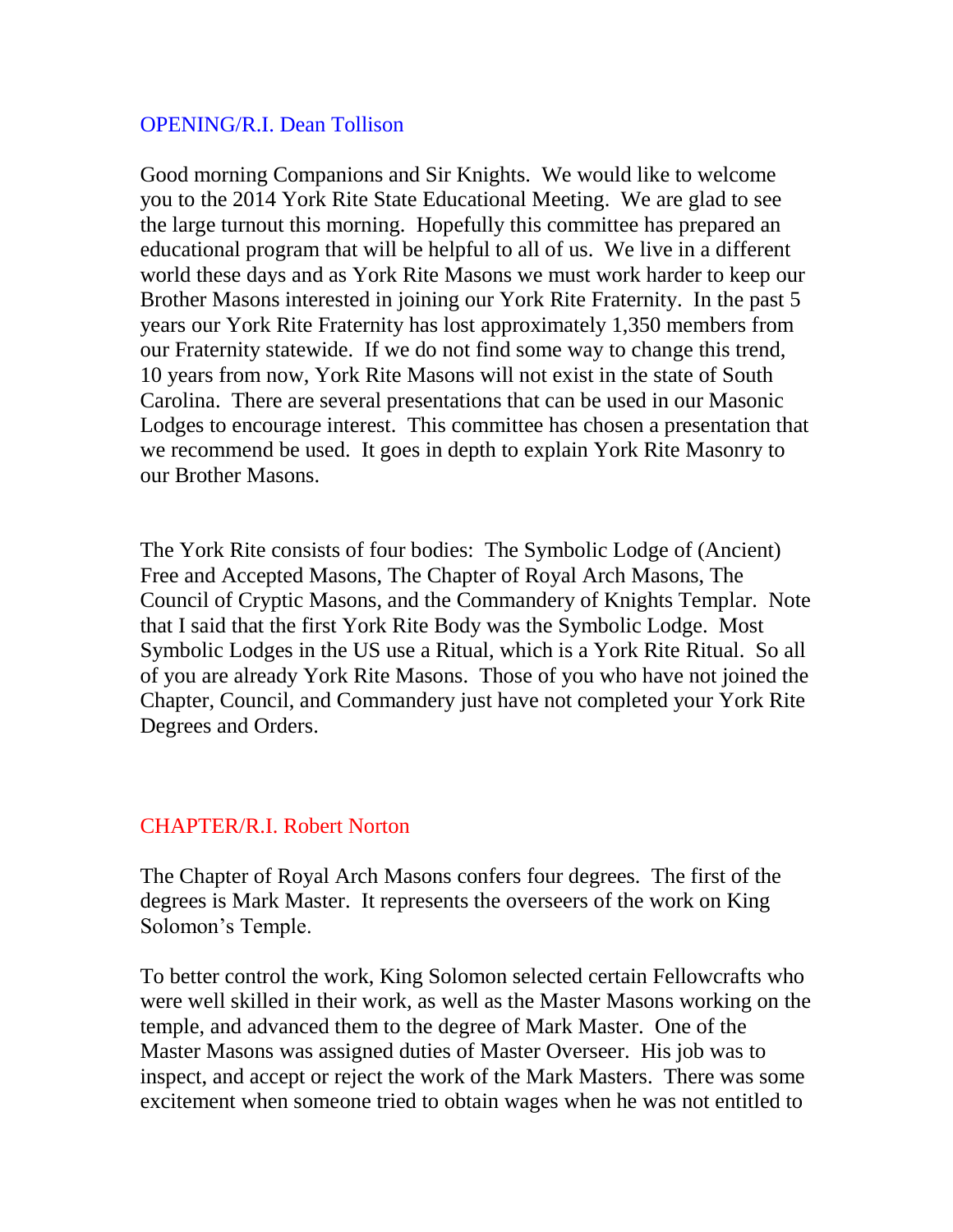## OPENING/R.I. Dean Tollison

Good morning Companions and Sir Knights. We would like to welcome you to the 2014 York Rite State Educational Meeting. We are glad to see the large turnout this morning. Hopefully this committee has prepared an educational program that will be helpful to all of us. We live in a different world these days and as York Rite Masons we must work harder to keep our Brother Masons interested in joining our York Rite Fraternity. In the past 5 years our York Rite Fraternity has lost approximately 1,350 members from our Fraternity statewide. If we do not find some way to change this trend, 10 years from now, York Rite Masons will not exist in the state of South Carolina. There are several presentations that can be used in our Masonic Lodges to encourage interest. This committee has chosen a presentation that we recommend be used. It goes in depth to explain York Rite Masonry to our Brother Masons.

The York Rite consists of four bodies: The Symbolic Lodge of (Ancient) Free and Accepted Masons, The Chapter of Royal Arch Masons, The Council of Cryptic Masons, and the Commandery of Knights Templar. Note that I said that the first York Rite Body was the Symbolic Lodge. Most Symbolic Lodges in the US use a Ritual, which is a York Rite Ritual. So all of you are already York Rite Masons. Those of you who have not joined the Chapter, Council, and Commandery just have not completed your York Rite Degrees and Orders.

#### CHAPTER/R.I. Robert Norton

The Chapter of Royal Arch Masons confers four degrees. The first of the degrees is Mark Master. It represents the overseers of the work on King Solomon's Temple.

To better control the work, King Solomon selected certain Fellowcrafts who were well skilled in their work, as well as the Master Masons working on the temple, and advanced them to the degree of Mark Master. One of the Master Masons was assigned duties of Master Overseer. His job was to inspect, and accept or reject the work of the Mark Masters. There was some excitement when someone tried to obtain wages when he was not entitled to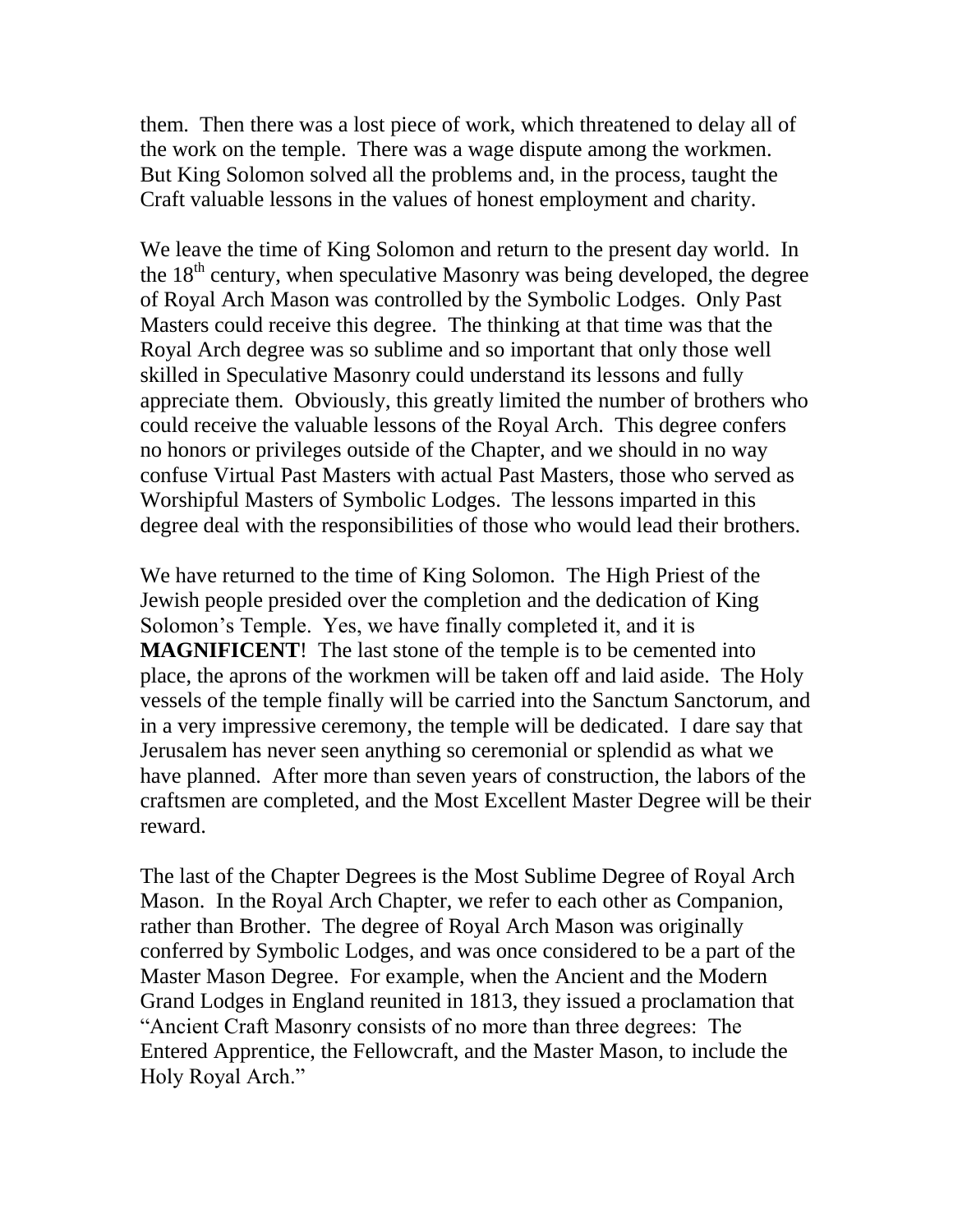them. Then there was a lost piece of work, which threatened to delay all of the work on the temple. There was a wage dispute among the workmen. But King Solomon solved all the problems and, in the process, taught the Craft valuable lessons in the values of honest employment and charity.

We leave the time of King Solomon and return to the present day world. In the  $18<sup>th</sup>$  century, when speculative Masonry was being developed, the degree of Royal Arch Mason was controlled by the Symbolic Lodges. Only Past Masters could receive this degree. The thinking at that time was that the Royal Arch degree was so sublime and so important that only those well skilled in Speculative Masonry could understand its lessons and fully appreciate them. Obviously, this greatly limited the number of brothers who could receive the valuable lessons of the Royal Arch. This degree confers no honors or privileges outside of the Chapter, and we should in no way confuse Virtual Past Masters with actual Past Masters, those who served as Worshipful Masters of Symbolic Lodges. The lessons imparted in this degree deal with the responsibilities of those who would lead their brothers.

We have returned to the time of King Solomon. The High Priest of the Jewish people presided over the completion and the dedication of King Solomon's Temple. Yes, we have finally completed it, and it is **MAGNIFICENT**! The last stone of the temple is to be cemented into place, the aprons of the workmen will be taken off and laid aside. The Holy vessels of the temple finally will be carried into the Sanctum Sanctorum, and in a very impressive ceremony, the temple will be dedicated. I dare say that Jerusalem has never seen anything so ceremonial or splendid as what we have planned. After more than seven years of construction, the labors of the craftsmen are completed, and the Most Excellent Master Degree will be their reward.

The last of the Chapter Degrees is the Most Sublime Degree of Royal Arch Mason. In the Royal Arch Chapter, we refer to each other as Companion, rather than Brother. The degree of Royal Arch Mason was originally conferred by Symbolic Lodges, and was once considered to be a part of the Master Mason Degree. For example, when the Ancient and the Modern Grand Lodges in England reunited in 1813, they issued a proclamation that "Ancient Craft Masonry consists of no more than three degrees: The Entered Apprentice, the Fellowcraft, and the Master Mason, to include the Holy Royal Arch."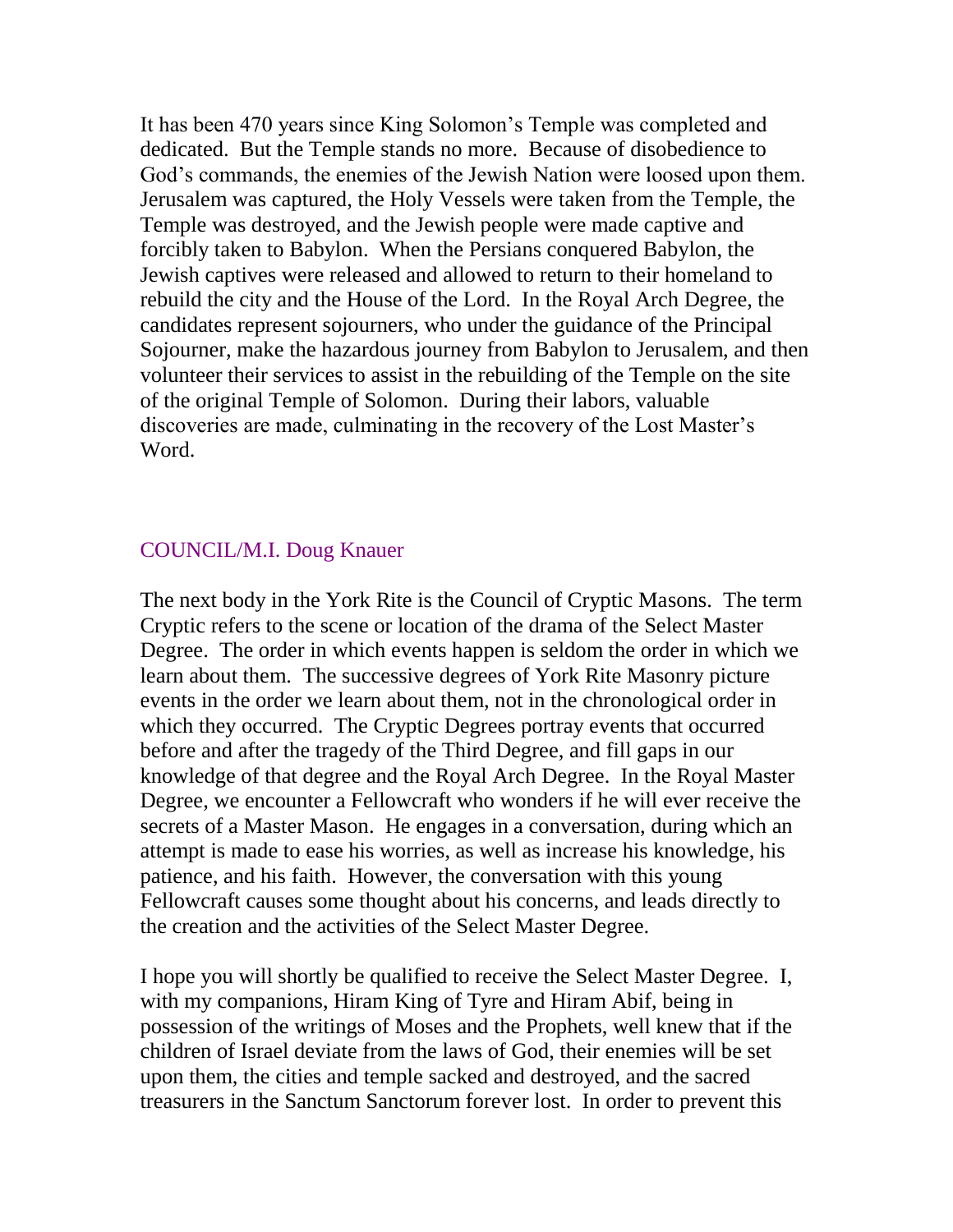It has been 470 years since King Solomon's Temple was completed and dedicated. But the Temple stands no more. Because of disobedience to God's commands, the enemies of the Jewish Nation were loosed upon them. Jerusalem was captured, the Holy Vessels were taken from the Temple, the Temple was destroyed, and the Jewish people were made captive and forcibly taken to Babylon. When the Persians conquered Babylon, the Jewish captives were released and allowed to return to their homeland to rebuild the city and the House of the Lord. In the Royal Arch Degree, the candidates represent sojourners, who under the guidance of the Principal Sojourner, make the hazardous journey from Babylon to Jerusalem, and then volunteer their services to assist in the rebuilding of the Temple on the site of the original Temple of Solomon. During their labors, valuable discoveries are made, culminating in the recovery of the Lost Master's Word.

## COUNCIL/M.I. Doug Knauer

The next body in the York Rite is the Council of Cryptic Masons. The term Cryptic refers to the scene or location of the drama of the Select Master Degree. The order in which events happen is seldom the order in which we learn about them. The successive degrees of York Rite Masonry picture events in the order we learn about them, not in the chronological order in which they occurred. The Cryptic Degrees portray events that occurred before and after the tragedy of the Third Degree, and fill gaps in our knowledge of that degree and the Royal Arch Degree. In the Royal Master Degree, we encounter a Fellowcraft who wonders if he will ever receive the secrets of a Master Mason. He engages in a conversation, during which an attempt is made to ease his worries, as well as increase his knowledge, his patience, and his faith. However, the conversation with this young Fellowcraft causes some thought about his concerns, and leads directly to the creation and the activities of the Select Master Degree.

I hope you will shortly be qualified to receive the Select Master Degree. I, with my companions, Hiram King of Tyre and Hiram Abif, being in possession of the writings of Moses and the Prophets, well knew that if the children of Israel deviate from the laws of God, their enemies will be set upon them, the cities and temple sacked and destroyed, and the sacred treasurers in the Sanctum Sanctorum forever lost. In order to prevent this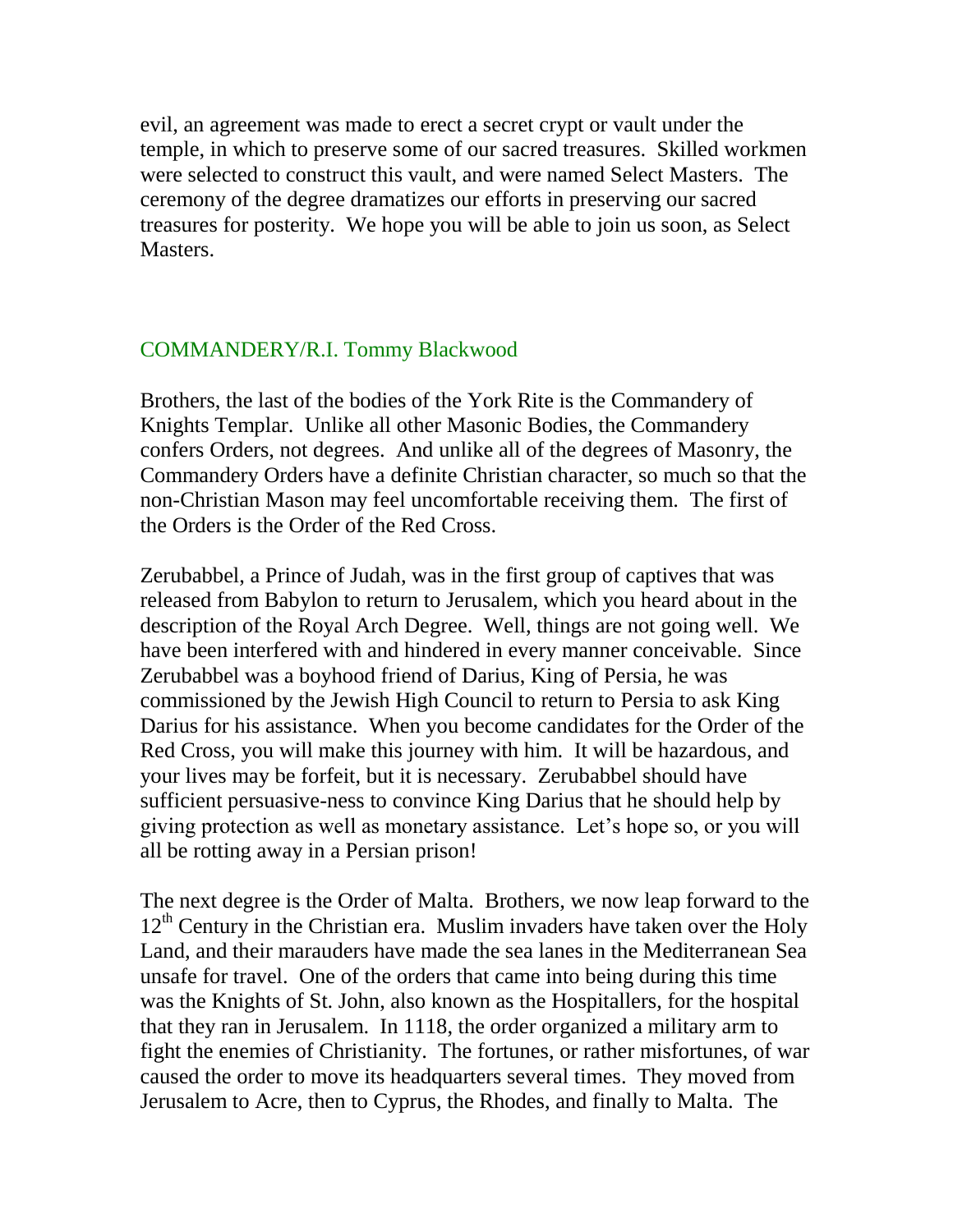evil, an agreement was made to erect a secret crypt or vault under the temple, in which to preserve some of our sacred treasures. Skilled workmen were selected to construct this vault, and were named Select Masters. The ceremony of the degree dramatizes our efforts in preserving our sacred treasures for posterity. We hope you will be able to join us soon, as Select Masters.

## COMMANDERY/R.I. Tommy Blackwood

Brothers, the last of the bodies of the York Rite is the Commandery of Knights Templar. Unlike all other Masonic Bodies, the Commandery confers Orders, not degrees. And unlike all of the degrees of Masonry, the Commandery Orders have a definite Christian character, so much so that the non-Christian Mason may feel uncomfortable receiving them. The first of the Orders is the Order of the Red Cross.

Zerubabbel, a Prince of Judah, was in the first group of captives that was released from Babylon to return to Jerusalem, which you heard about in the description of the Royal Arch Degree. Well, things are not going well. We have been interfered with and hindered in every manner conceivable. Since Zerubabbel was a boyhood friend of Darius, King of Persia, he was commissioned by the Jewish High Council to return to Persia to ask King Darius for his assistance. When you become candidates for the Order of the Red Cross, you will make this journey with him. It will be hazardous, and your lives may be forfeit, but it is necessary. Zerubabbel should have sufficient persuasive-ness to convince King Darius that he should help by giving protection as well as monetary assistance. Let's hope so, or you will all be rotting away in a Persian prison!

The next degree is the Order of Malta. Brothers, we now leap forward to the  $12<sup>th</sup>$  Century in the Christian era. Muslim invaders have taken over the Holy Land, and their marauders have made the sea lanes in the Mediterranean Sea unsafe for travel. One of the orders that came into being during this time was the Knights of St. John, also known as the Hospitallers, for the hospital that they ran in Jerusalem. In 1118, the order organized a military arm to fight the enemies of Christianity. The fortunes, or rather misfortunes, of war caused the order to move its headquarters several times. They moved from Jerusalem to Acre, then to Cyprus, the Rhodes, and finally to Malta. The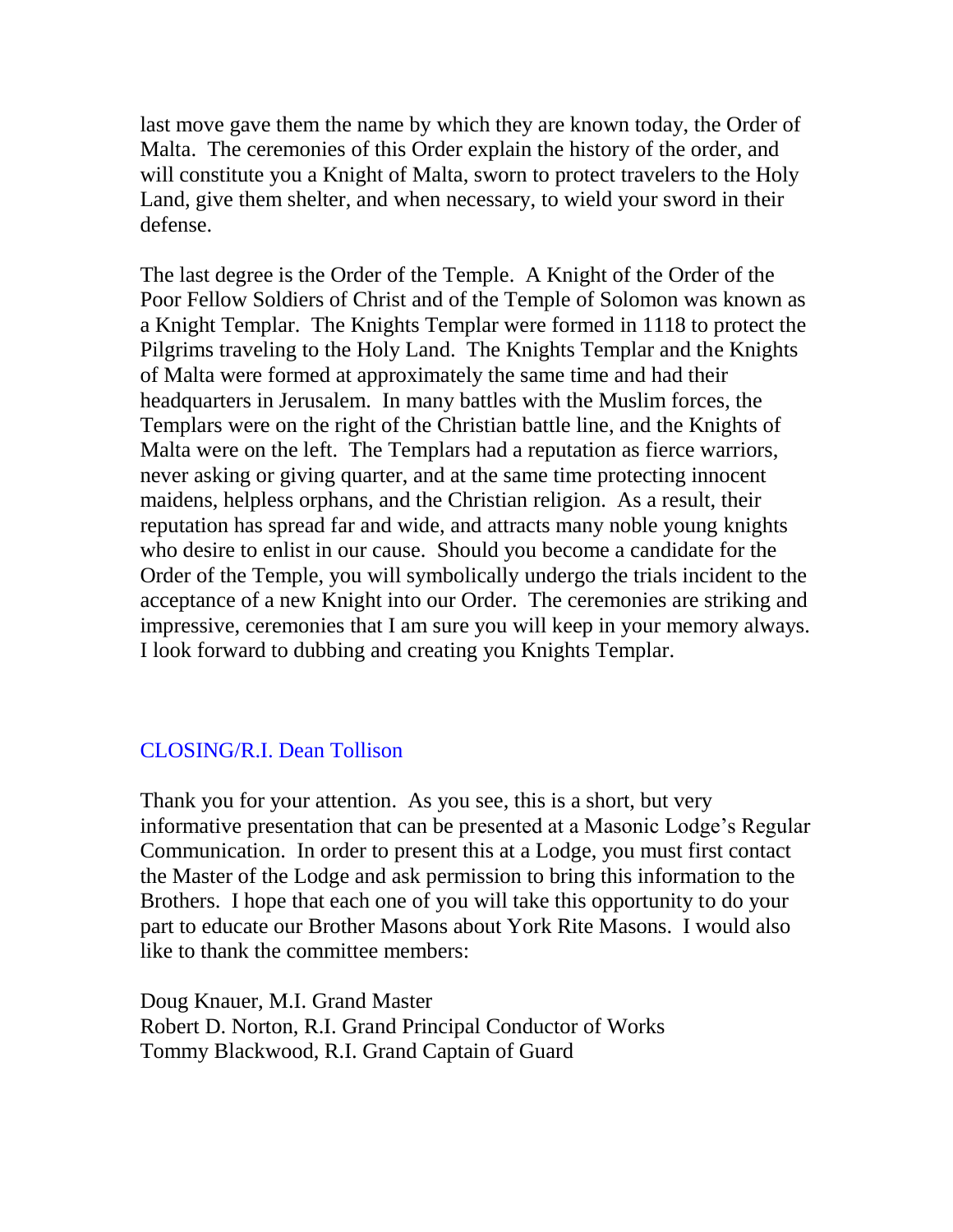last move gave them the name by which they are known today, the Order of Malta. The ceremonies of this Order explain the history of the order, and will constitute you a Knight of Malta, sworn to protect travelers to the Holy Land, give them shelter, and when necessary, to wield your sword in their defense.

The last degree is the Order of the Temple. A Knight of the Order of the Poor Fellow Soldiers of Christ and of the Temple of Solomon was known as a Knight Templar. The Knights Templar were formed in 1118 to protect the Pilgrims traveling to the Holy Land. The Knights Templar and the Knights of Malta were formed at approximately the same time and had their headquarters in Jerusalem. In many battles with the Muslim forces, the Templars were on the right of the Christian battle line, and the Knights of Malta were on the left. The Templars had a reputation as fierce warriors, never asking or giving quarter, and at the same time protecting innocent maidens, helpless orphans, and the Christian religion. As a result, their reputation has spread far and wide, and attracts many noble young knights who desire to enlist in our cause. Should you become a candidate for the Order of the Temple, you will symbolically undergo the trials incident to the acceptance of a new Knight into our Order. The ceremonies are striking and impressive, ceremonies that I am sure you will keep in your memory always. I look forward to dubbing and creating you Knights Templar.

# CLOSING/R.I. Dean Tollison

Thank you for your attention. As you see, this is a short, but very informative presentation that can be presented at a Masonic Lodge's Regular Communication. In order to present this at a Lodge, you must first contact the Master of the Lodge and ask permission to bring this information to the Brothers. I hope that each one of you will take this opportunity to do your part to educate our Brother Masons about York Rite Masons. I would also like to thank the committee members:

Doug Knauer, M.I. Grand Master Robert D. Norton, R.I. Grand Principal Conductor of Works Tommy Blackwood, R.I. Grand Captain of Guard